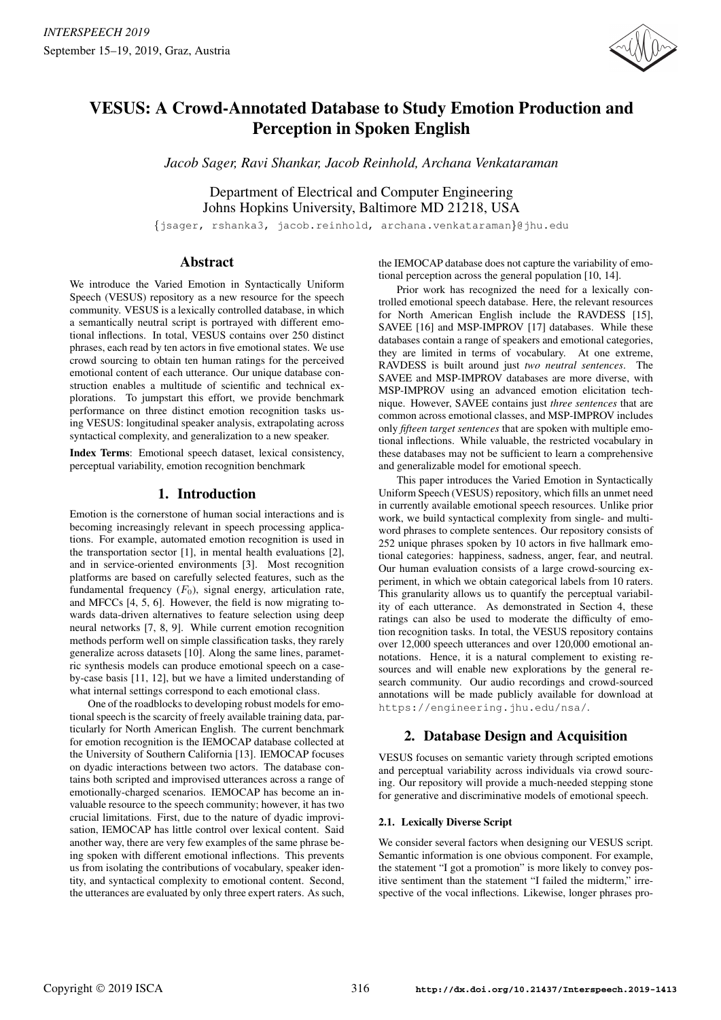

# VESUS: A Crowd-Annotated Database to Study Emotion Production and Perception in Spoken English

*Jacob Sager, Ravi Shankar, Jacob Reinhold, Archana Venkataraman*

Department of Electrical and Computer Engineering Johns Hopkins University, Baltimore MD 21218, USA

{jsager, rshanka3, jacob.reinhold, archana.venkataraman}@jhu.edu

# Abstract

We introduce the Varied Emotion in Syntactically Uniform Speech (VESUS) repository as a new resource for the speech community. VESUS is a lexically controlled database, in which a semantically neutral script is portrayed with different emotional inflections. In total, VESUS contains over 250 distinct phrases, each read by ten actors in five emotional states. We use crowd sourcing to obtain ten human ratings for the perceived emotional content of each utterance. Our unique database construction enables a multitude of scientific and technical explorations. To jumpstart this effort, we provide benchmark performance on three distinct emotion recognition tasks using VESUS: longitudinal speaker analysis, extrapolating across syntactical complexity, and generalization to a new speaker.

Index Terms: Emotional speech dataset, lexical consistency, perceptual variability, emotion recognition benchmark

# 1. Introduction

Emotion is the cornerstone of human social interactions and is becoming increasingly relevant in speech processing applications. For example, automated emotion recognition is used in the transportation sector [1], in mental health evaluations [2], and in service-oriented environments [3]. Most recognition platforms are based on carefully selected features, such as the fundamental frequency  $(F_0)$ , signal energy, articulation rate, and MFCCs [4, 5, 6]. However, the field is now migrating towards data-driven alternatives to feature selection using deep neural networks [7, 8, 9]. While current emotion recognition methods perform well on simple classification tasks, they rarely generalize across datasets [10]. Along the same lines, parametric synthesis models can produce emotional speech on a caseby-case basis [11, 12], but we have a limited understanding of what internal settings correspond to each emotional class.

One of the roadblocks to developing robust models for emotional speech is the scarcity of freely available training data, particularly for North American English. The current benchmark for emotion recognition is the IEMOCAP database collected at the University of Southern California [13]. IEMOCAP focuses on dyadic interactions between two actors. The database contains both scripted and improvised utterances across a range of emotionally-charged scenarios. IEMOCAP has become an invaluable resource to the speech community; however, it has two crucial limitations. First, due to the nature of dyadic improvisation, IEMOCAP has little control over lexical content. Said another way, there are very few examples of the same phrase being spoken with different emotional inflections. This prevents us from isolating the contributions of vocabulary, speaker identity, and syntactical complexity to emotional content. Second, the utterances are evaluated by only three expert raters. As such, the IEMOCAP database does not capture the variability of emotional perception across the general population [10, 14].

Prior work has recognized the need for a lexically controlled emotional speech database. Here, the relevant resources for North American English include the RAVDESS [15], SAVEE [16] and MSP-IMPROV [17] databases. While these databases contain a range of speakers and emotional categories, they are limited in terms of vocabulary. At one extreme, RAVDESS is built around just *two neutral sentences*. The SAVEE and MSP-IMPROV databases are more diverse, with MSP-IMPROV using an advanced emotion elicitation technique. However, SAVEE contains just *three sentences* that are common across emotional classes, and MSP-IMPROV includes only *fifteen target sentences* that are spoken with multiple emotional inflections. While valuable, the restricted vocabulary in these databases may not be sufficient to learn a comprehensive and generalizable model for emotional speech.

This paper introduces the Varied Emotion in Syntactically Uniform Speech (VESUS) repository, which fills an unmet need in currently available emotional speech resources. Unlike prior work, we build syntactical complexity from single- and multiword phrases to complete sentences. Our repository consists of 252 unique phrases spoken by 10 actors in five hallmark emotional categories: happiness, sadness, anger, fear, and neutral. Our human evaluation consists of a large crowd-sourcing experiment, in which we obtain categorical labels from 10 raters. This granularity allows us to quantify the perceptual variability of each utterance. As demonstrated in Section 4, these ratings can also be used to moderate the difficulty of emotion recognition tasks. In total, the VESUS repository contains over 12,000 speech utterances and over 120,000 emotional annotations. Hence, it is a natural complement to existing resources and will enable new explorations by the general research community. Our audio recordings and crowd-sourced annotations will be made publicly available for download at https://engineering.jhu.edu/nsa/.

# 2. Database Design and Acquisition

VESUS focuses on semantic variety through scripted emotions and perceptual variability across individuals via crowd sourcing. Our repository will provide a much-needed stepping stone for generative and discriminative models of emotional speech.

### 2.1. Lexically Diverse Script

We consider several factors when designing our VESUS script. Semantic information is one obvious component. For example, the statement "I got a promotion" is more likely to convey positive sentiment than the statement "I failed the midterm," irrespective of the vocal inflections. Likewise, longer phrases pro-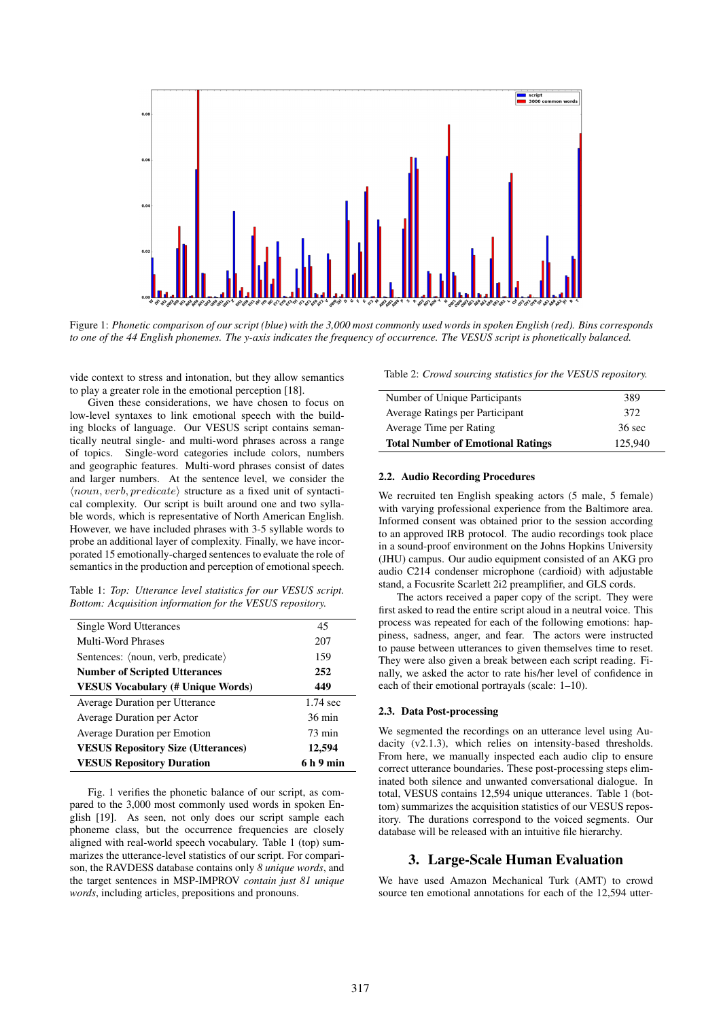

Figure 1: *Phonetic comparison of our script (blue) with the 3,000 most commonly used words in spoken English (red). Bins corresponds to one of the 44 English phonemes. The y-axis indicates the frequency of occurrence. The VESUS script is phonetically balanced.*

vide context to stress and intonation, but they allow semantics to play a greater role in the emotional perception [18].

Given these considerations, we have chosen to focus on low-level syntaxes to link emotional speech with the building blocks of language. Our VESUS script contains semantically neutral single- and multi-word phrases across a range of topics. Single-word categories include colors, numbers and geographic features. Multi-word phrases consist of dates and larger numbers. At the sentence level, we consider the  $\langle noun, verb, predicate \rangle$  structure as a fixed unit of syntactical complexity. Our script is built around one and two syllable words, which is representative of North American English. However, we have included phrases with 3-5 syllable words to probe an additional layer of complexity. Finally, we have incorporated 15 emotionally-charged sentences to evaluate the role of semantics in the production and perception of emotional speech.

Table 1: *Top: Utterance level statistics for our VESUS script. Bottom: Acquisition information for the VESUS repository.*

| Single Word Utterances                    | 45                 |
|-------------------------------------------|--------------------|
| Multi-Word Phrases                        | 207                |
| Sentences: (noun, verb, predicate)        | 159                |
| <b>Number of Scripted Utterances</b>      | 252                |
| <b>VESUS Vocabulary (# Unique Words)</b>  | 449                |
| Average Duration per Utterance            | $1.74 \text{ sec}$ |
| Average Duration per Actor                | $36 \text{ min}$   |
| <b>Average Duration per Emotion</b>       | $73 \text{ min}$   |
| <b>VESUS Repository Size (Utterances)</b> | 12,594             |
| <b>VESUS Repository Duration</b>          | 6 h 9 min          |

Fig. 1 verifies the phonetic balance of our script, as compared to the 3,000 most commonly used words in spoken English [19]. As seen, not only does our script sample each phoneme class, but the occurrence frequencies are closely aligned with real-world speech vocabulary. Table 1 (top) summarizes the utterance-level statistics of our script. For comparison, the RAVDESS database contains only *8 unique words*, and the target sentences in MSP-IMPROV *contain just 81 unique words*, including articles, prepositions and pronouns.

Table 2: *Crowd sourcing statistics for the VESUS repository.*

| Number of Unique Participants            | 389              |
|------------------------------------------|------------------|
| Average Ratings per Participant          | 372              |
| Average Time per Rating                  | $36 \text{ sec}$ |
| <b>Total Number of Emotional Ratings</b> | 125,940          |

#### 2.2. Audio Recording Procedures

We recruited ten English speaking actors (5 male, 5 female) with varying professional experience from the Baltimore area. Informed consent was obtained prior to the session according to an approved IRB protocol. The audio recordings took place in a sound-proof environment on the Johns Hopkins University (JHU) campus. Our audio equipment consisted of an AKG pro audio C214 condenser microphone (cardioid) with adjustable stand, a Focusrite Scarlett 2i2 preamplifier, and GLS cords.

The actors received a paper copy of the script. They were first asked to read the entire script aloud in a neutral voice. This process was repeated for each of the following emotions: happiness, sadness, anger, and fear. The actors were instructed to pause between utterances to given themselves time to reset. They were also given a break between each script reading. Finally, we asked the actor to rate his/her level of confidence in each of their emotional portrayals (scale: 1–10).

## 2.3. Data Post-processing

We segmented the recordings on an utterance level using Audacity (v2.1.3), which relies on intensity-based thresholds. From here, we manually inspected each audio clip to ensure correct utterance boundaries. These post-processing steps eliminated both silence and unwanted conversational dialogue. In total, VESUS contains 12,594 unique utterances. Table 1 (bottom) summarizes the acquisition statistics of our VESUS repository. The durations correspond to the voiced segments. Our database will be released with an intuitive file hierarchy.

## 3. Large-Scale Human Evaluation

We have used Amazon Mechanical Turk (AMT) to crowd source ten emotional annotations for each of the 12,594 utter-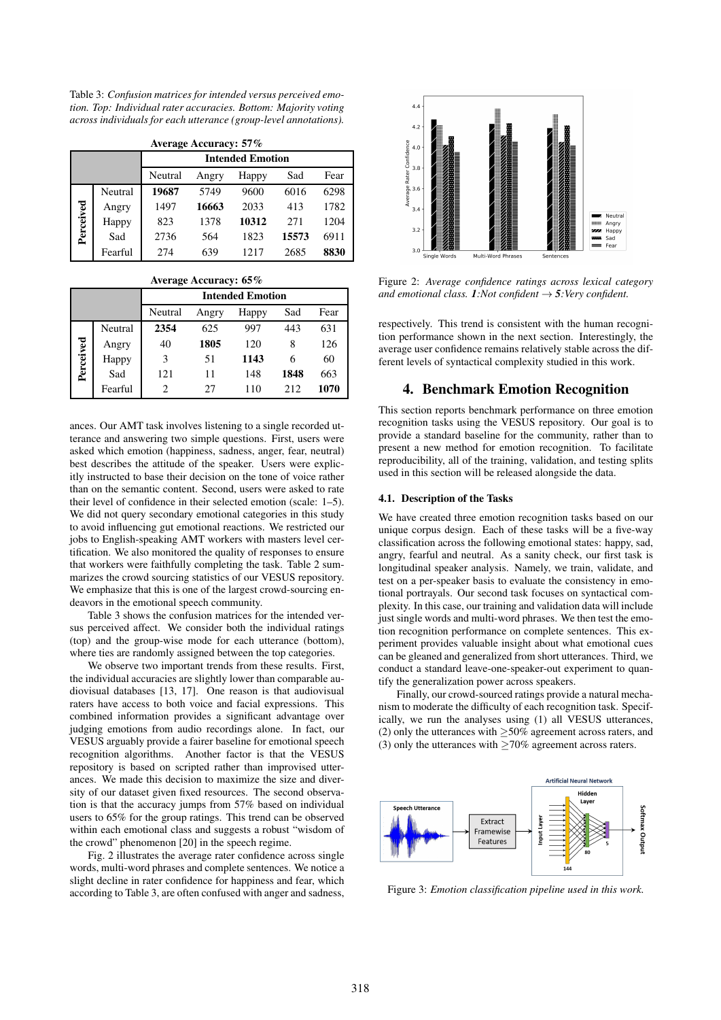Table 3: *Confusion matrices for intended versus perceived emotion. Top: Individual rater accuracies. Bottom: Majority voting across individuals for each utterance (group-level annotations).*

| <b>Average Accuracy: 57%</b> |         |                                          |       |       |       |      |
|------------------------------|---------|------------------------------------------|-------|-------|-------|------|
|                              |         | <b>Intended Emotion</b>                  |       |       |       |      |
|                              |         | Sad<br>Fear<br>Neutral<br>Happy<br>Angry |       |       |       |      |
|                              | Neutral | 19687                                    | 5749  | 9600  | 6016  | 6298 |
|                              | Angry   | 1497                                     | 16663 | 2033  | 413   | 1782 |
| Perceived                    | Happy   | 823                                      | 1378  | 10312 | 271   | 1204 |
|                              | Sad     | 2736                                     | 564   | 1823  | 15573 | 6911 |
|                              | Fearful | 274                                      | 639   | 1217  | 2685  | 8830 |

Average Accuracy: 65%

|           |         | <b>Intended Emotion</b> |       |       |      |      |
|-----------|---------|-------------------------|-------|-------|------|------|
|           |         | Neutral                 | Angry | Happy | Sad  | Fear |
|           | Neutral | 2354                    | 625   | 997   | 443  | 631  |
|           | Angry   | 40                      | 1805  | 120   | 8    | 126  |
| Perceived | Happy   | 3                       | 51    | 1143  | 6    | 60   |
|           | Sad     | 121                     | 11    | 148   | 1848 | 663  |
|           | Fearful | 2                       | 27    | 110   | 212  | 1070 |

ances. Our AMT task involves listening to a single recorded utterance and answering two simple questions. First, users were asked which emotion (happiness, sadness, anger, fear, neutral) best describes the attitude of the speaker. Users were explicitly instructed to base their decision on the tone of voice rather than on the semantic content. Second, users were asked to rate their level of confidence in their selected emotion (scale: 1–5). We did not query secondary emotional categories in this study to avoid influencing gut emotional reactions. We restricted our jobs to English-speaking AMT workers with masters level certification. We also monitored the quality of responses to ensure that workers were faithfully completing the task. Table 2 summarizes the crowd sourcing statistics of our VESUS repository. We emphasize that this is one of the largest crowd-sourcing endeavors in the emotional speech community.

Table 3 shows the confusion matrices for the intended versus perceived affect. We consider both the individual ratings (top) and the group-wise mode for each utterance (bottom), where ties are randomly assigned between the top categories.

We observe two important trends from these results. First, the individual accuracies are slightly lower than comparable audiovisual databases [13, 17]. One reason is that audiovisual raters have access to both voice and facial expressions. This combined information provides a significant advantage over judging emotions from audio recordings alone. In fact, our VESUS arguably provide a fairer baseline for emotional speech recognition algorithms. Another factor is that the VESUS repository is based on scripted rather than improvised utterances. We made this decision to maximize the size and diversity of our dataset given fixed resources. The second observation is that the accuracy jumps from 57% based on individual users to 65% for the group ratings. This trend can be observed within each emotional class and suggests a robust "wisdom of the crowd" phenomenon [20] in the speech regime.

Fig. 2 illustrates the average rater confidence across single words, multi-word phrases and complete sentences. We notice a slight decline in rater confidence for happiness and fear, which according to Table 3, are often confused with anger and sadness,



Figure 2: *Average confidence ratings across lexical category and emotional class.* **1***:Not confident*  $\rightarrow$  **5***:Very confident.* 

respectively. This trend is consistent with the human recognition performance shown in the next section. Interestingly, the average user confidence remains relatively stable across the different levels of syntactical complexity studied in this work.

## 4. Benchmark Emotion Recognition

This section reports benchmark performance on three emotion recognition tasks using the VESUS repository. Our goal is to provide a standard baseline for the community, rather than to present a new method for emotion recognition. To facilitate reproducibility, all of the training, validation, and testing splits used in this section will be released alongside the data.

#### 4.1. Description of the Tasks

We have created three emotion recognition tasks based on our unique corpus design. Each of these tasks will be a five-way classification across the following emotional states: happy, sad, angry, fearful and neutral. As a sanity check, our first task is longitudinal speaker analysis. Namely, we train, validate, and test on a per-speaker basis to evaluate the consistency in emotional portrayals. Our second task focuses on syntactical complexity. In this case, our training and validation data will include just single words and multi-word phrases. We then test the emotion recognition performance on complete sentences. This experiment provides valuable insight about what emotional cues can be gleaned and generalized from short utterances. Third, we conduct a standard leave-one-speaker-out experiment to quantify the generalization power across speakers.

Finally, our crowd-sourced ratings provide a natural mechanism to moderate the difficulty of each recognition task. Specifically, we run the analyses using (1) all VESUS utterances, (2) only the utterances with  $\geq$ 50% agreement across raters, and (3) only the utterances with  $\geq$ 70% agreement across raters.



Figure 3: *Emotion classification pipeline used in this work.*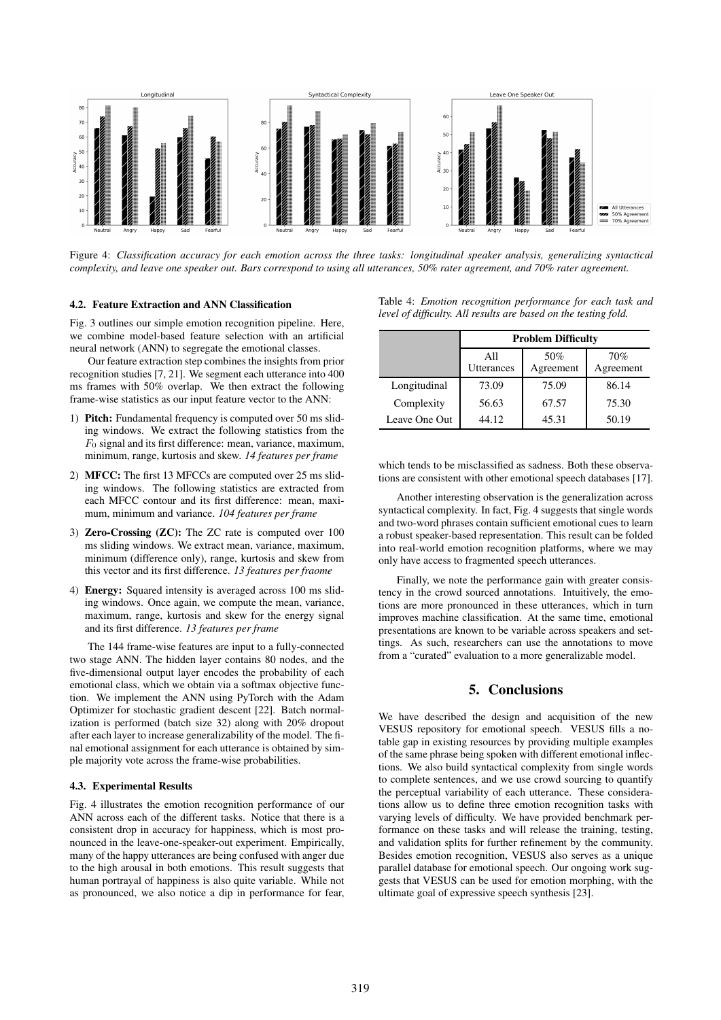

Figure 4: *Classification accuracy for each emotion across the three tasks: longitudinal speaker analysis, generalizing syntactical complexity, and leave one speaker out. Bars correspond to using all utterances, 50% rater agreement, and 70% rater agreement.*

#### 4.2. Feature Extraction and ANN Classification

Fig. 3 outlines our simple emotion recognition pipeline. Here, we combine model-based feature selection with an artificial neural network (ANN) to segregate the emotional classes.

Our feature extraction step combines the insights from prior recognition studies [7, 21]. We segment each utterance into 400 ms frames with 50% overlap. We then extract the following frame-wise statistics as our input feature vector to the ANN:

- 1) Pitch: Fundamental frequency is computed over 50 ms sliding windows. We extract the following statistics from the  $F_0$  signal and its first difference: mean, variance, maximum, minimum, range, kurtosis and skew. *14 features per frame*
- 2) MFCC: The first 13 MFCCs are computed over 25 ms sliding windows. The following statistics are extracted from each MFCC contour and its first difference: mean, maximum, minimum and variance. *104 features per frame*
- 3) Zero-Crossing (ZC): The ZC rate is computed over 100 ms sliding windows. We extract mean, variance, maximum, minimum (difference only), range, kurtosis and skew from this vector and its first difference. *13 features per fraome*
- 4) Energy: Squared intensity is averaged across 100 ms sliding windows. Once again, we compute the mean, variance, maximum, range, kurtosis and skew for the energy signal and its first difference. *13 features per frame*

The 144 frame-wise features are input to a fully-connected two stage ANN. The hidden layer contains 80 nodes, and the five-dimensional output layer encodes the probability of each emotional class, which we obtain via a softmax objective function. We implement the ANN using PyTorch with the Adam Optimizer for stochastic gradient descent [22]. Batch normalization is performed (batch size 32) along with 20% dropout after each layer to increase generalizability of the model. The final emotional assignment for each utterance is obtained by simple majority vote across the frame-wise probabilities.

#### 4.3. Experimental Results

Fig. 4 illustrates the emotion recognition performance of our ANN across each of the different tasks. Notice that there is a consistent drop in accuracy for happiness, which is most pronounced in the leave-one-speaker-out experiment. Empirically, many of the happy utterances are being confused with anger due to the high arousal in both emotions. This result suggests that human portrayal of happiness is also quite variable. While not as pronounced, we also notice a dip in performance for fear,

|  | Table 4: <i>Emotion recognition performance for each task and</i> |  |  |  |
|--|-------------------------------------------------------------------|--|--|--|
|  | level of difficulty. All results are based on the testing fold.   |  |  |  |

|               | <b>Problem Difficulty</b> |                  |                  |  |
|---------------|---------------------------|------------------|------------------|--|
|               | All<br><b>Utterances</b>  | 50%<br>Agreement | 70%<br>Agreement |  |
| Longitudinal  | 73.09                     | 75.09            | 86.14            |  |
| Complexity    | 56.63                     | 67.57            | 75.30            |  |
| Leave One Out | 44.12                     | 45.31            | 50.19            |  |

which tends to be misclassified as sadness. Both these observations are consistent with other emotional speech databases [17].

Another interesting observation is the generalization across syntactical complexity. In fact, Fig. 4 suggests that single words and two-word phrases contain sufficient emotional cues to learn a robust speaker-based representation. This result can be folded into real-world emotion recognition platforms, where we may only have access to fragmented speech utterances.

Finally, we note the performance gain with greater consistency in the crowd sourced annotations. Intuitively, the emotions are more pronounced in these utterances, which in turn improves machine classification. At the same time, emotional presentations are known to be variable across speakers and settings. As such, researchers can use the annotations to move from a "curated" evaluation to a more generalizable model.

## 5. Conclusions

We have described the design and acquisition of the new VESUS repository for emotional speech. VESUS fills a notable gap in existing resources by providing multiple examples of the same phrase being spoken with different emotional inflections. We also build syntactical complexity from single words to complete sentences, and we use crowd sourcing to quantify the perceptual variability of each utterance. These considerations allow us to define three emotion recognition tasks with varying levels of difficulty. We have provided benchmark performance on these tasks and will release the training, testing, and validation splits for further refinement by the community. Besides emotion recognition, VESUS also serves as a unique parallel database for emotional speech. Our ongoing work suggests that VESUS can be used for emotion morphing, with the ultimate goal of expressive speech synthesis [23].